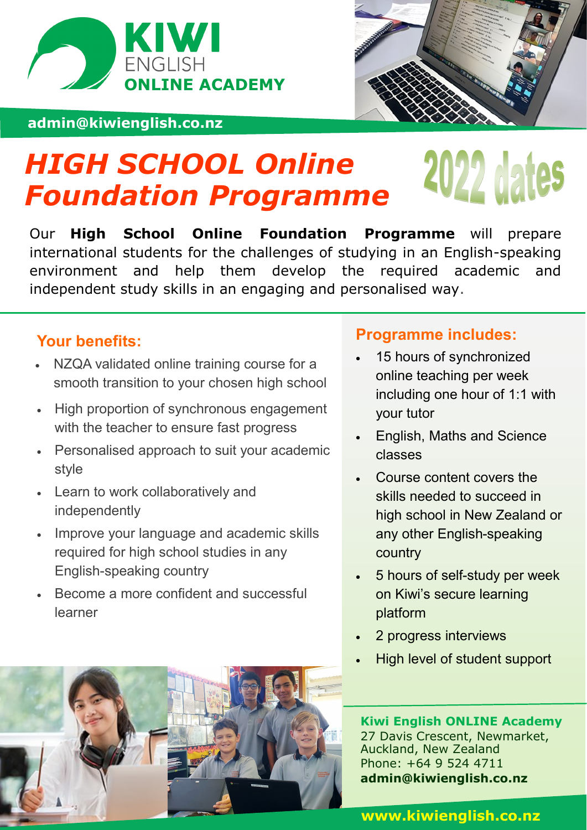

## **admin@kiwienglish.co.nz**



# *HIGH SCHOOL Online*  2022 dates *Foundation Programme*

Our **High School Online Foundation Programme** will prepare international students for the challenges of studying in an English-speaking environment and help them develop the required academic and independent study skills in an engaging and personalised way.

# **Your benefits:**

- NZQA validated online training course for a smooth transition to your chosen high school
- High proportion of synchronous engagement with the teacher to ensure fast progress
- Personalised approach to suit your academic style
- Learn to work collaboratively and independently
- Improve your language and academic skills required for high school studies in any English-speaking country
- Become a more confident and successful learner

# **Programme includes:**

- 15 hours of synchronized online teaching per week including one hour of 1:1 with your tutor
- English, Maths and Science classes
- Course content covers the skills needed to succeed in high school in New Zealand or any other English-speaking country
- 5 hours of self-study per week on Kiwi's secure learning platform
- 2 progress interviews
- High level of student support

# **Kiwi English ONLINE Academy**

27 Davis Crescent, Newmarket, Auckland, New Zealand Phone: +64 9 524 4711 **admin@kiwienglish.co.nz**

### **www.kiwienglish.co.nz**